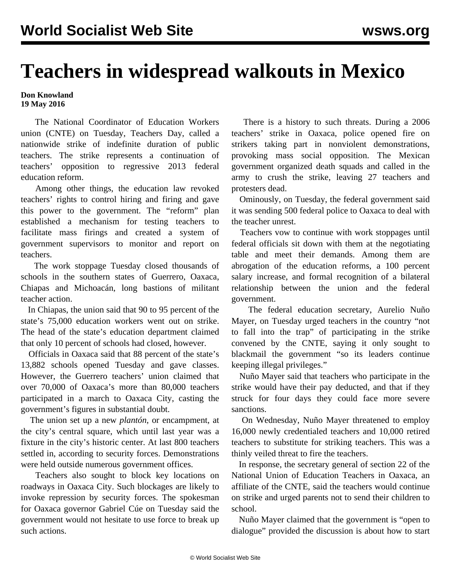## **Teachers in widespread walkouts in Mexico**

**Don Knowland 19 May 2016**

 The National Coordinator of Education Workers union (CNTE) on Tuesday, Teachers Day, called a nationwide strike of indefinite duration of public teachers. The strike represents a continuation of teachers' opposition to regressive 2013 federal education reform.

 Among other things, the education law revoked teachers' rights to control hiring and firing and gave this power to the government. The "reform" plan established a mechanism for testing teachers to facilitate mass firings and created a system of government supervisors to monitor and report on teachers.

 The work stoppage Tuesday closed thousands of schools in the southern states of Guerrero, Oaxaca, Chiapas and Michoacán, long bastions of militant teacher action.

 In Chiapas, the union said that 90 to 95 percent of the state's 75,000 education workers went out on strike. The head of the state's education department claimed that only 10 percent of schools had closed, however.

 Officials in Oaxaca said that 88 percent of the state's 13,882 schools opened Tuesday and gave classes. However, the Guerrero teachers' union claimed that over 70,000 of Oaxaca's more than 80,000 teachers participated in a march to Oaxaca City, casting the government's figures in substantial doubt.

 The union set up a new *plantón*, or encampment, at the city's central square, which until last year was a fixture in the city's historic center. At last 800 teachers settled in, according to security forces. Demonstrations were held outside numerous government offices.

 Teachers also sought to block key locations on roadways in Oaxaca City. Such blockages are likely to invoke repression by security forces. The spokesman for Oaxaca governor Gabriel Cúe on Tuesday said the government would not hesitate to use force to break up such actions.

 There is a history to such threats. During a 2006 teachers' strike in Oaxaca, police opened fire on strikers taking part in nonviolent demonstrations, provoking mass social opposition. The Mexican government organized death squads and called in the army to crush the strike, leaving 27 teachers and protesters dead.

 Ominously, on Tuesday, the federal government said it was sending 500 federal police to Oaxaca to deal with the teacher unrest.

 Teachers vow to continue with work stoppages until federal officials sit down with them at the negotiating table and meet their demands. Among them are abrogation of the education reforms, a 100 percent salary increase, and formal recognition of a bilateral relationship between the union and the federal government.

 The federal education secretary, Aurelio Nuño Mayer, on Tuesday urged teachers in the country "not to fall into the trap" of participating in the strike convened by the CNTE, saying it only sought to blackmail the government "so its leaders continue keeping illegal privileges."

 Nuño Mayer said that teachers who participate in the strike would have their pay deducted, and that if they struck for four days they could face more severe sanctions.

 On Wednesday, Nuño Mayer threatened to employ 16,000 newly credentialed teachers and 10,000 retired teachers to substitute for striking teachers. This was a thinly veiled threat to fire the teachers.

 In response, the secretary general of section 22 of the National Union of Education Teachers in Oaxaca, an affiliate of the CNTE, said the teachers would continue on strike and urged parents not to send their children to school.

 Nuño Mayer claimed that the government is "open to dialogue" provided the discussion is about how to start